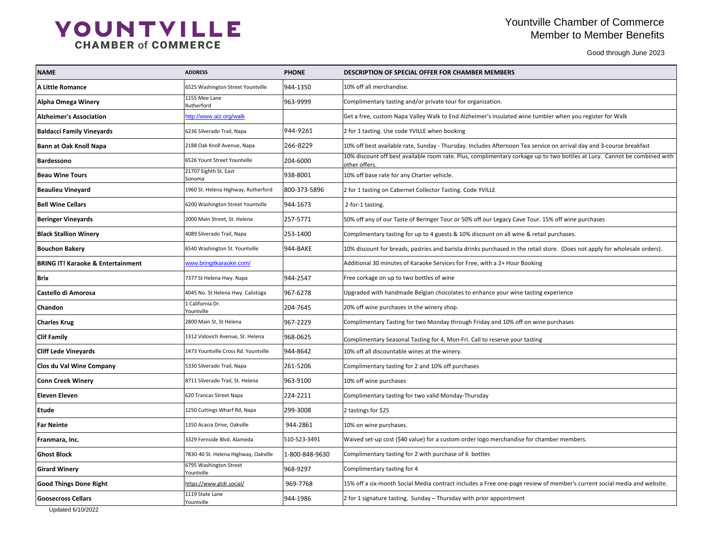### Yountville Chamber of Commerce Member to Member Benefits

Good through June 2023

╼

| e tumbler when you register for Walk                  |  |  |  |  |
|-------------------------------------------------------|--|--|--|--|
|                                                       |  |  |  |  |
| a service on arrival day and 3-course breakfast       |  |  |  |  |
| ge up to two bottles at Lucy. Cannot be combined with |  |  |  |  |
|                                                       |  |  |  |  |
|                                                       |  |  |  |  |
|                                                       |  |  |  |  |
| Tour. 15% off wine purchases                          |  |  |  |  |
| & retail purchases.                                   |  |  |  |  |
| retail store. (Does not apply for wholesale orders).  |  |  |  |  |
| oking                                                 |  |  |  |  |
|                                                       |  |  |  |  |
| asting experience                                     |  |  |  |  |
|                                                       |  |  |  |  |
| n wine purchases                                      |  |  |  |  |
| asting                                                |  |  |  |  |
|                                                       |  |  |  |  |
|                                                       |  |  |  |  |
|                                                       |  |  |  |  |
|                                                       |  |  |  |  |
|                                                       |  |  |  |  |
|                                                       |  |  |  |  |
| for chamber members.                                  |  |  |  |  |
|                                                       |  |  |  |  |
|                                                       |  |  |  |  |
| eview of member's current social media and website.   |  |  |  |  |
|                                                       |  |  |  |  |

# YOUNTVILLE

| <b>NAME</b>                                  | <b>ADDRESS</b>                       | <b>PHONE</b>   | <b>DESCRIPTION OF SPECIAL OFFER FOR CHAMBER MEMBERS</b>                                                                                    |  |
|----------------------------------------------|--------------------------------------|----------------|--------------------------------------------------------------------------------------------------------------------------------------------|--|
| A Little Romance                             | 6525 Washington Street Yountville    | 944-1350       | 10% off all merchandise.                                                                                                                   |  |
| <b>Alpha Omega Winery</b>                    | 1155 Mee Lane<br>Rutherford          | 963-9999       | Complimentary tasting and/or private tour for organization.                                                                                |  |
| <b>Alzheimer's Association</b>               | http://www.alz.org/walk              |                | Get a free, custom Napa Valley Walk to End Alzheimer's insulated wine tumbler when you register for Walk                                   |  |
| <b>Baldacci Family Vineyards</b>             | 6236 Silverado Trail, Napa           | 944-9261       | 2 for 1 tasting. Use code YVILLE when booking                                                                                              |  |
| <b>Bann at Oak Knoll Napa</b>                | 2188 Oak Knoll Avenue, Napa          | 266-8229       | 10% off best available rate, Sunday - Thursday. Includes Afternoon Tea service on arrival day and 3-course breakfast                       |  |
| <b>Bardessono</b>                            | 6526 Yount Street Yountville         | 204-6000       | 10% discount off best available room rate. Plus, complimentary corkage up to two bottles at Lucy. Cannot be combined with<br>other offers. |  |
| <b>Beau Wine Tours</b>                       | 21707 Eighth St. East<br>Sonoma      | 938-8001       | 10% off base rate for any Charter vehicle.                                                                                                 |  |
| <b>Beaulieu Vineyard</b>                     | 1960 St. Helena Highway, Rutherford  | 800-373-5896   | 2 for 1 tasting on Cabernet Collector Tasting. Code YVILLE                                                                                 |  |
| <b>Bell Wine Cellars</b>                     | 6200 Washington Street Yountville    | 944-1673       | 2-for-1 tasting.                                                                                                                           |  |
| <b>Beringer Vineyards</b>                    | 2000 Main Street, St. Helena         | 257-5771       | 50% off any of our Taste of Beringer Tour or 50% off our Legacy Cave Tour. 15% off wine purchases                                          |  |
| <b>Black Stallion Winery</b>                 | 4089 Silverado Trail, Napa           | 253-1400       | Complimentary tasting for up to 4 guests & 10% discount on all wine & retail purchases.                                                    |  |
| <b>Bouchon Bakery</b>                        | 6540 Washington St. Yountville       | 944-BAKE       | 10% discount for breads, pastries and barista drinks purchased in the retail store. (Does not apply for wholesale orders).                 |  |
| <b>BRING IT! Karaoke &amp; Entertainment</b> | www.bringitkaraoke.com/              |                | Additional 30 minutes of Karaoke Services for Free, with a 2+ Hour Booking                                                                 |  |
| Brix                                         | 7377 St Helena Hwy. Napa             | 944-2547       | Free corkage on up to two bottles of wine                                                                                                  |  |
| <b>Castello di Amorosa</b>                   | 4045 No. St Helena Hwy. Calistoga    | 967-6278       | Upgraded with handmade Belgian chocolates to enhance your wine tasting experience                                                          |  |
| <b>Chandon</b>                               | 1 California Dr.<br>Yountville       | 204-7645       | 20% off wine purchases in the winery shop.                                                                                                 |  |
| <b>Charles Krug</b>                          | 2800 Main St, St Helena              | 967-2229       | Complimentary Tasting for two Monday through Friday and 10% off on wine purchases                                                          |  |
| <b>Clif Family</b>                           | 1312 Vidovich Avenue, St. Helena     | 968-0625       | Complimentary Seasonal Tasting for 4, Mon-Fri. Call to reserve your tasting                                                                |  |
| <b>Cliff Lede Vineyards</b>                  | 1473 Yountville Cross Rd. Yountville | 944-8642       | 10% off all discountable wines at the winery.                                                                                              |  |
| <b>Clos du Val Wine Company</b>              | 5330 Silverado Trail, Napa           | 261-5206       | Complimentary tasting for 2 and 10% off purchases                                                                                          |  |
| <b>Conn Creek Winery</b>                     | 8711 Silverado Trail, St. Helena     | 963-9100       | 10% off wine purchases                                                                                                                     |  |
| <b>Eleven Eleven</b>                         | 620 Trancas Street Napa              | 224-2211       | Complimentary tasting for two valid Monday-Thursday                                                                                        |  |
| <b>Etude</b>                                 | 1250 Cuttings Wharf Rd, Napa         | 299-3008       | 2 tastings for \$25                                                                                                                        |  |
| <b>Far Neinte</b>                            | 1350 Acacia Drive, Oakville          | 944-2861       | 10% on wine purchases.                                                                                                                     |  |
| Franmara, Inc.                               | 3329 Fernside Blvd. Alameda          | 510-523-3491   | Waived set-up cost (\$40 value) for a custom order logo merchandise for chamber members.                                                   |  |
| <b>Ghost Block</b>                           | 7830-40 St. Helena Highway, Oakville | 1-800-848-9630 | Complimentary tasting for 2 with purchase of 6 bottles                                                                                     |  |
| <b>Girard Winery</b>                         | 6795 Washington Street<br>Yountville | 968-9297       | Complimentary tasting for 4                                                                                                                |  |
| <b>Good Things Done Right</b>                | https://www.gtdr.social/             | 969-7768       | 15% off a six-month Social Media contract includes a Free one-page review of member's current social media and website.                    |  |
| <b>Goosecross Cellars</b>                    | 1119 State Lane<br>Yountville        | 944-1986       | 2 for 1 signature tasting, Sunday - Thursday with prior appointment                                                                        |  |
| IndatedC/10/2022                             |                                      |                |                                                                                                                                            |  |

Updated 6/10/2022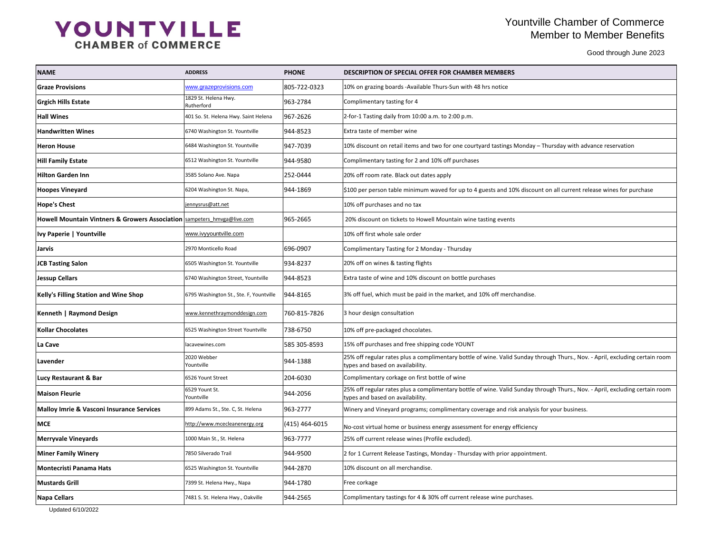### Yountville Chamber of Commerce Member to Member Benefits

Good through June 2023

| day – Thursday with advance reservation                 |
|---------------------------------------------------------|
|                                                         |
|                                                         |
| scount on all current release wines for purchase        |
|                                                         |
|                                                         |
|                                                         |
|                                                         |
|                                                         |
|                                                         |
| ise.                                                    |
|                                                         |
|                                                         |
|                                                         |
| ay through Thurs., Nov. - April, excluding certain room |
|                                                         |
| ay through Thurs., Nov. - April, excluding certain room |
| llysis for your business.                               |
| ncy؛                                                    |
|                                                         |
| ntment.                                                 |
|                                                         |
|                                                         |
| эs.                                                     |

# YOUNTVILLE

| <b>NAME</b>                                                                        | <b>ADDRESS</b>                          | <b>PHONE</b>   | <b>DESCRIPTION OF SPECIAL OFFER FOR CHAMBER MEMBERS</b>                                                                                                          |  |
|------------------------------------------------------------------------------------|-----------------------------------------|----------------|------------------------------------------------------------------------------------------------------------------------------------------------------------------|--|
| <b>Graze Provisions</b>                                                            | www.grazeprovisions.com                 | 805-722-0323   | 10% on grazing boards -Available Thurs-Sun with 48 hrs notice                                                                                                    |  |
| <b>Grgich Hills Estate</b>                                                         | 1829 St. Helena Hwy.<br>Rutherford      | 963-2784       | Complimentary tasting for 4                                                                                                                                      |  |
| <b>Hall Wines</b>                                                                  | 401 So. St. Helena Hwy. Saint Helena    | 967-2626       | 2-for-1 Tasting daily from 10:00 a.m. to 2:00 p.m.                                                                                                               |  |
| <b>Handwritten Wines</b>                                                           | 6740 Washington St. Yountville          | 944-8523       | Extra taste of member wine                                                                                                                                       |  |
| <b>Heron House</b>                                                                 | 6484 Washington St. Yountville          | 947-7039       | 10% discount on retail items and two for one courtyard tastings Monday - Thursday with advance reservation                                                       |  |
| <b>Hill Family Estate</b>                                                          | 6512 Washington St. Yountville          | 944-9580       | Complimentary tasting for 2 and 10% off purchases                                                                                                                |  |
| <b>Hilton Garden Inn</b>                                                           | 3585 Solano Ave. Napa                   | 252-0444       | 20% off room rate. Black out dates apply                                                                                                                         |  |
| <b>Hoopes Vineyard</b>                                                             | 6204 Washington St. Napa,               | 944-1869       | \$100 per person table minimum waved for up to 4 guests and 10% discount on all current release wines for purchase                                               |  |
| Hope's Chest                                                                       | jennysrus@att.net                       |                | 10% off purchases and no tax                                                                                                                                     |  |
| <b>Howell Mountain Vintners &amp; Growers Association sampeters</b> hmyga@live.com |                                         | 965-2665       | 20% discount on tickets to Howell Mountain wine tasting events                                                                                                   |  |
| <b>Ivy Paperie   Yountville</b>                                                    | www.ivyyountville.com                   |                | 10% off first whole sale order                                                                                                                                   |  |
| <b>Jarvis</b>                                                                      | 2970 Monticello Road                    | 696-0907       | Complimentary Tasting for 2 Monday - Thursday                                                                                                                    |  |
| <b>JCB Tasting Salon</b>                                                           | 6505 Washington St. Yountville          | 934-8237       | 20% off on wines & tasting flights                                                                                                                               |  |
| <b>Jessup Cellars</b>                                                              | 6740 Washington Street, Yountville      | 944-8523       | Extra taste of wine and 10% discount on bottle purchases                                                                                                         |  |
| <b>Kelly's Filling Station and Wine Shop</b>                                       | 6795 Washington St., Ste. F, Yountville | 944-8165       | 3% off fuel, which must be paid in the market, and 10% off merchandise.                                                                                          |  |
| Kenneth   Raymond Design                                                           | www.kennethraymonddesign.com            | 760-815-7826   | 3 hour design consultation                                                                                                                                       |  |
| <b>Kollar Chocolates</b>                                                           | 6525 Washington Street Yountville       | 738-6750       | 10% off pre-packaged chocolates.                                                                                                                                 |  |
| La Cave                                                                            | lacavewines.com                         | 585 305-8593   | 15% off purchases and free shipping code YOUNT                                                                                                                   |  |
| Lavender                                                                           | 2020 Webber<br>Yountville               | 944-1388       | 25% off regular rates plus a complimentary bottle of wine. Valid Sunday through Thurs., Nov. - April, excluding certain room<br>types and based on availability. |  |
| <b>Lucy Restaurant &amp; Bar</b>                                                   | 6526 Yount Street                       | 204-6030       | Complimentary corkage on first bottle of wine                                                                                                                    |  |
| <b>Maison Fleurie</b>                                                              | 6529 Yount St.<br>Yountville            | 944-2056       | 25% off regular rates plus a complimentary bottle of wine. Valid Sunday through Thurs., Nov. - April, excluding certain room<br>types and based on availability. |  |
| Malloy Imrie & Vasconi Insurance Services                                          | 899 Adams St., Ste. C, St. Helena       | 963-2777       | Winery and Vineyard programs; complimentary coverage and risk analysis for your business.                                                                        |  |
| <b>MCE</b>                                                                         | http://www.mcecleanenergy.org           | (415) 464-6015 | No-cost virtual home or business energy assessment for energy efficiency                                                                                         |  |
| <b>Merryvale Vineyards</b>                                                         | 1000 Main St., St. Helena               | 963-7777       | 25% off current release wines (Profile excluded).                                                                                                                |  |
| <b>Miner Family Winery</b>                                                         | 7850 Silverado Trail                    | 944-9500       | 2 for 1 Current Release Tastings, Monday - Thursday with prior appointment.                                                                                      |  |
| <b>Montecristi Panama Hats</b>                                                     | 6525 Washington St. Yountville          | 944-2870       | 10% discount on all merchandise.                                                                                                                                 |  |
| Mustards Grill                                                                     | 7399 St. Helena Hwy., Napa              | 944-1780       | Free corkage                                                                                                                                                     |  |
| Napa Cellars                                                                       | 7481 S. St. Helena Hwy., Oakville       | 944-2565       | Complimentary tastings for 4 & 30% off current release wine purchases.                                                                                           |  |

Updated 6/10/2022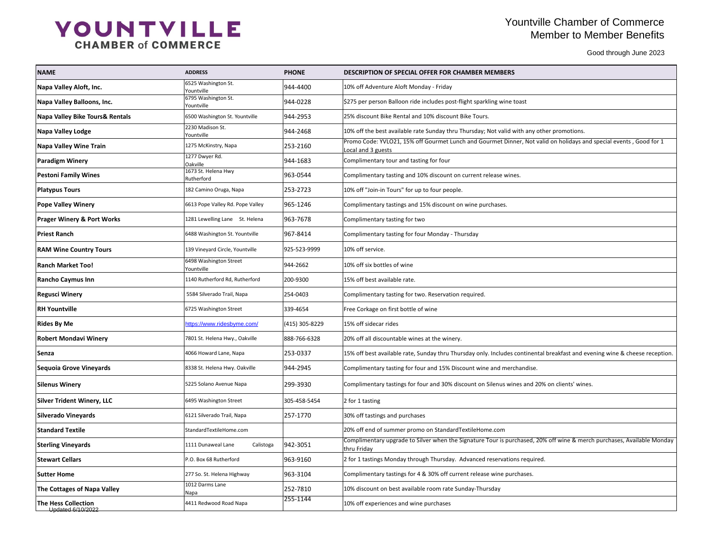### Yountville Chamber of Commerce Member to Member Benefits

Good through June 2023

| iny other promotions.                                 |
|-------------------------------------------------------|
| lot valid on holidays and special events, Good for 1  |
|                                                       |
|                                                       |
|                                                       |
|                                                       |
|                                                       |
|                                                       |
|                                                       |
|                                                       |
|                                                       |
|                                                       |
|                                                       |
|                                                       |
|                                                       |
| nental breakfast and evening wine & cheese reception. |
| lise.                                                 |
| nd 20% on clients' wines.                             |
|                                                       |
|                                                       |
|                                                       |
| ed, 20% off wine & merch purchases, Available Monday  |
| quired.                                               |
| эs.                                                   |
|                                                       |
|                                                       |

# YOUNTVILLE

|                                                 |                                      | <b>PHONE</b>     | <b>DESCRIPTION OF SPECIAL OFFER FOR CHAMBER MEMBERS</b>                                                                                  |
|-------------------------------------------------|--------------------------------------|------------------|------------------------------------------------------------------------------------------------------------------------------------------|
| Napa Valley Aloft, Inc.                         | 6525 Washington St.<br>Yountville    | 944-4400         | 10% off Adventure Aloft Monday - Friday                                                                                                  |
| Napa Valley Balloons, Inc.                      | 6795 Washington St.<br>Yountville    | 944-0228         | \$275 per person Balloon ride includes post-flight sparkling wine toast                                                                  |
| <b>Napa Valley Bike Tours&amp; Rentals</b>      | 6500 Washington St. Yountville       | 944-2953         | 25% discount Bike Rental and 10% discount Bike Tours.                                                                                    |
| <b>Napa Valley Lodge</b>                        | 2230 Madison St.<br>Yountville       | 944-2468         | 10% off the best available rate Sunday thru Thursday; Not valid with any other promotions.                                               |
| <b>Napa Valley Wine Train</b>                   | 1275 McKinstry, Napa                 | 253-2160         | Promo Code: YVLO21, 15% off Gourmet Lunch and Gourmet Dinner, Not valid on holidays and special events, Good for 1<br>Local and 3 guests |
| <b>Paradigm Winery</b>                          | 1277 Dwyer Rd.<br>Oakville           | 944-1683         | Complimentary tour and tasting for four                                                                                                  |
| <b>Pestoni Family Wines</b>                     | 1673 St. Helena Hwy<br>Rutherford    | 963-0544         | Complimentary tasting and 10% discount on current release wines.                                                                         |
| <b>Platypus Tours</b>                           | 182 Camino Oruga, Napa               | 253-2723         | 10% off "Join-in Tours" for up to four people.                                                                                           |
| <b>Pope Valley Winery</b>                       | 6613 Pope Valley Rd. Pope Valley     | 965-1246         | Complimentary tastings and 15% discount on wine purchases.                                                                               |
| <b>Prager Winery &amp; Port Works</b>           | 1281 Lewelling Lane St. Helena       | $ 963 - 7678 $   | Complimentary tasting for two                                                                                                            |
| Priest Ranch                                    | 6488 Washington St. Yountville       | 967-8414         | Complimentary tasting for four Monday - Thursday                                                                                         |
| <b>RAM Wine Country Tours</b>                   | 139 Vineyard Circle, Yountville      | 925-523-9999     | 10% off service.                                                                                                                         |
| <b>Ranch Market Too!</b>                        | 6498 Washington Street<br>Yountville | 944-2662         | 10% off six bottles of wine                                                                                                              |
| <b>Rancho Caymus Inn</b>                        | 1140 Rutherford Rd, Rutherford       | 200-9300         | 15% off best available rate.                                                                                                             |
| <b>Regusci Winery</b>                           | 5584 Silverado Trail, Napa           | 254-0403         | Complimentary tasting for two. Reservation required.                                                                                     |
| <b>RH Yountville</b>                            | 6725 Washington Street               | 339-4654         | Free Corkage on first bottle of wine                                                                                                     |
| <b>Rides By Me</b>                              | https://www.ridesbyme.com/           | $(415)$ 305-8229 | 15% off sidecar rides                                                                                                                    |
| <b>Robert Mondavi Winery</b>                    | 7801 St. Helena Hwy., Oakville       | 888-766-6328     | 20% off all discountable wines at the winery.                                                                                            |
| Senza                                           | 4066 Howard Lane, Napa               | 253-0337         | 15% off best available rate, Sunday thru Thursday only. Includes continental breakfast and evening wine & cheese reception.              |
| Sequoia Grove Vineyards                         | 8338 St. Helena Hwy. Oakville        | 944-2945         | Complimentary tasting for four and 15% Discount wine and merchandise.                                                                    |
| <b>Silenus Winery</b>                           | 5225 Solano Avenue Napa              | 299-3930         | Complimentary tastings for four and 30% discount on Silenus wines and 20% on clients' wines.                                             |
| <b>Silver Trident Winery, LLC</b>               | 6495 Washington Street               | 305-458-5454     | 2 for 1 tasting                                                                                                                          |
| <b>Silverado Vineyards</b>                      | 6121 Silverado Trail, Napa           | 257-1770         | 30% off tastings and purchases                                                                                                           |
| <b>Standard Textile</b>                         | StandardTextileHome.com              |                  | 20% off end of summer promo on StandardTextileHome.com                                                                                   |
| <b>Sterling Vineyards</b>                       | 1111 Dunaweal Lane<br>Calistoga      | 942-3051         | Complimentary upgrade to Silver when the Signature Tour is purchased, 20% off wine & merch purchases, Available Monday<br>thru Friday    |
| <b>Stewart Cellars</b>                          | P.O. Box 68 Rutherford               | 963-9160         | 2 for 1 tastings Monday through Thursday. Advanced reservations required.                                                                |
| <b>Sutter Home</b>                              | 277 So. St. Helena Highway           | 963-3104         | Complimentary tastings for 4 & 30% off current release wine purchases.                                                                   |
| <b>The Cottages of Napa Valley</b>              | 1012 Darms Lane<br>Napa              | 252-7810         | 10% discount on best available room rate Sunday-Thursday                                                                                 |
| <b>The Hess Collection</b><br>Updated 6/10/2022 | 4411 Redwood Road Napa               | 255-1144         | 10% off experiences and wine purchases                                                                                                   |